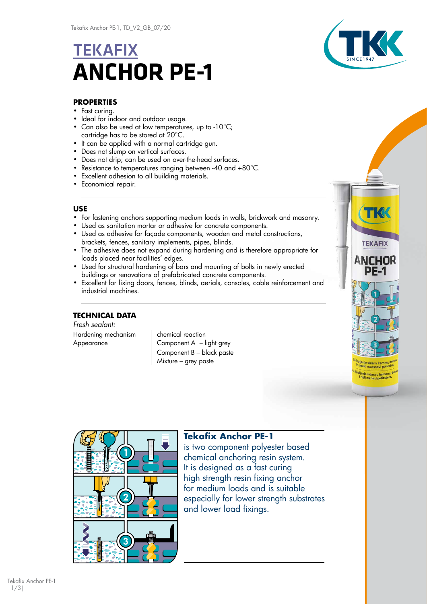# **TEKAFIX ANCHOR PE-1**



## **PROPERTIES**

- Fast curing.
- Ideal for indoor and outdoor usage.
- Can also be used at low temperatures, up to -10°C; cartridge has to be stored at 20°C.
- It can be applied with a normal cartridge gun.
- Does not slump on vertical surfaces.
- Does not drip; can be used on over-the-head surfaces.
- Resistance to temperatures ranging between -40 and +80°C.
- Excellent adhesion to all building materials.
- Economical repair.

### **USE**

- For fastening anchors supporting medium loads in walls, brickwork and masonry.
- Used as sanitation mortar or adhesive for concrete components.
- Used as adhesive for façade components, wooden and metal constructions, brackets, fences, sanitary implements, pipes, blinds.
- The adhesive does not expand during hardening and is therefore appropriate for loads placed near facilities' edges.
- Used for structural hardening of bars and mounting of bolts in newly erected buildings or renovations of prefabricated concrete components.
- Excellent for fixing doors, fences, blinds, aerials, consoles, cable reinforcement and industrial machines.

## **TECHNICAL DATA**

*Fresh sealant:* Hardening mechanism | chemical reaction

Appearance **Component A** – light grey Component B – black paste Mixture – grey paste





## **Tekafix Anchor PE-1**

is two component polyester based chemical anchoring resin system. It is designed as a fast curing high strength resin fixing anchor for medium loads and is suitable especially for lower strength substrates and lower load fixings.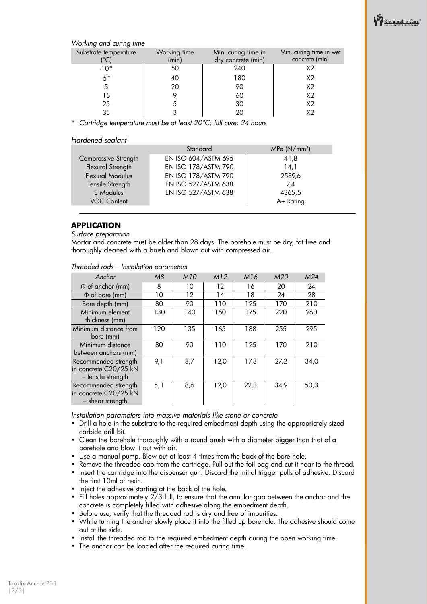

*Working and curing time*

| Substrate temperature | Working time<br>(min) | Min. curing time in<br>dry concrete (min) | Min. curing time in wet<br>concrete (min) |
|-----------------------|-----------------------|-------------------------------------------|-------------------------------------------|
| $-10*$                | 50                    | 240                                       | X2                                        |
| $-5*$                 | 40                    | 180                                       | X2                                        |
|                       | 20                    | 90                                        | X <sub>2</sub>                            |
| 15                    |                       | 60                                        | X <sub>2</sub>                            |
| 25                    |                       | 30                                        | X <sub>2</sub>                            |
| 35                    |                       | 20                                        |                                           |

\* *Cartridge temperature must be at least 20°C; full cure: 24 hours*

#### *Hardened sealant*

|                      | Standard            | MPa (N/mm <sup>2</sup> ) |  |  |
|----------------------|---------------------|--------------------------|--|--|
| Compressive Strength | EN ISO 604/ASTM 695 | 41,8                     |  |  |
| Flexural Strength    | EN ISO 178/ASTM 790 | 14,1                     |  |  |
| Flexural Modulus     | EN ISO 178/ASTM 790 | 2589,6                   |  |  |
| Tensile Strength     | EN ISO 527/ASTM 638 | 7,4                      |  |  |
| E Modulus            | EN ISO 527/ASTM 638 | 4365,5                   |  |  |
| <b>VOC Content</b>   |                     | A+ Rating                |  |  |
|                      |                     |                          |  |  |

#### **APPLICATION**

*Surface preparation*

Mortar and concrete must be older than 28 days. The borehole must be dry, fat free and thoroughly cleaned with a brush and blown out with compressed air.

| Anchor                                                              | M8  | <b>M10</b> | M12     | M16  | M20  | M24  |
|---------------------------------------------------------------------|-----|------------|---------|------|------|------|
| $\Phi$ of anchor (mm)                                               | 8   | 10         | $12 \,$ | 16   | 20   | 24   |
| $\Phi$ of bore (mm)                                                 | 10  | 12         | 14      | 18   | 24   | 28   |
| Bore depth (mm)                                                     | 80  | 90         | 110     | 125  | 170  | 210  |
| Minimum element<br>thickness (mm)                                   | 130 | 140        | 160     | 175  | 220  | 260  |
| Minimum distance from<br>bore (mm)                                  | 120 | 135        | 165     | 188  | 255  | 295  |
| Minimum distance<br>between anchors (mm)                            | 80  | 90         | 110     | 125  | 170  | 210  |
| Recommended strength<br>in concrete C20/25 kN<br>- tensile strength | 9,1 | 8,7        | 12,0    | 17,3 | 27,2 | 34,0 |
| Recommended strength<br>in concrete C20/25 kN<br>- shear strength   | 5,1 | 8,6        | 12,0    | 22,3 | 34,9 | 50,3 |

*Threaded rods – Installation parameters*

*Installation parameters into massive materials like stone or concrete*

- Drill a hole in the substrate to the required embedment depth using the appropriately sized carbide drill bit.
- Clean the borehole thoroughly with a round brush with a diameter bigger than that of a borehole and blow it out with air.
- Use a manual pump. Blow out at least 4 times from the back of the bore hole.
- Remove the threaded cap from the cartridge. Pull out the foil bag and cut it near to the thread. • Insert the cartridge into the dispenser gun. Discard the initial trigger pulls of adhesive. Discard the first 10ml of resin.
- Inject the adhesive starting at the back of the hole.
- Fill holes approximately 2/3 full, to ensure that the annular gap between the anchor and the concrete is completely filled with adhesive along the embedment depth.
- Before use, verify that the threaded rod is dry and free of impurities.
- While turning the anchor slowly place it into the filled up borehole. The adhesive should come out at the side.
- Install the threaded rod to the required embedment depth during the open working time.
- The anchor can be loaded after the required curing time.